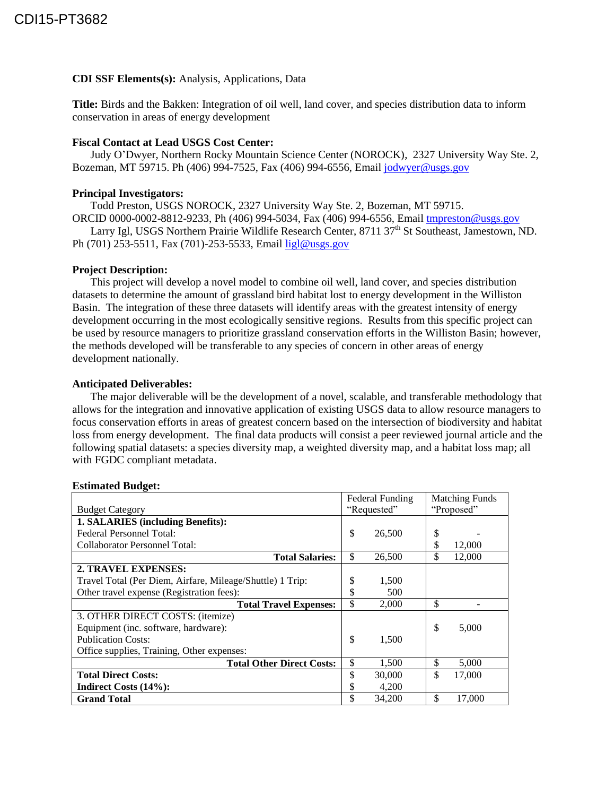# **CDI SSF Elements(s):** Analysis, Applications, Data

**Title:** Birds and the Bakken: Integration of oil well, land cover, and species distribution data to inform conservation in areas of energy development

## **Fiscal Contact at Lead USGS Cost Center:**

Judy O'Dwyer, Northern Rocky Mountain Science Center (NOROCK), 2327 University Way Ste. 2, Bozeman, MT 59715. Ph (406) 994-7525, Fax (406) 994-6556, Email [jodwyer@usgs.gov](mailto:jodwyer@usgs.gov)

### **Principal Investigators:**

Todd Preston, USGS NOROCK, 2327 University Way Ste. 2, Bozeman, MT 59715.

ORCID 0000-0002-8812-9233, Ph (406) 994-5034, Fax (406) 994-6556, Email [tmpreston@usgs.gov](mailto:tmpreston@usgs.gov)

Larry Igl, USGS Northern Prairie Wildlife Research Center, 8711 37<sup>th</sup> St Southeast, Jamestown, ND. Ph (701) 253-5511, Fax (701)-253-5533, Email [ligl@usgs.gov](mailto:ligl@usgs.gov)

#### **Project Description:**

This project will develop a novel model to combine oil well, land cover, and species distribution datasets to determine the amount of grassland bird habitat lost to energy development in the Williston Basin. The integration of these three datasets will identify areas with the greatest intensity of energy development occurring in the most ecologically sensitive regions. Results from this specific project can be used by resource managers to prioritize grassland conservation efforts in the Williston Basin; however, the methods developed will be transferable to any species of concern in other areas of energy development nationally.

#### **Anticipated Deliverables:**

The major deliverable will be the development of a novel, scalable, and transferable methodology that allows for the integration and innovative application of existing USGS data to allow resource managers to focus conservation efforts in areas of greatest concern based on the intersection of biodiversity and habitat loss from energy development. The final data products will consist a peer reviewed journal article and the following spatial datasets: a species diversity map, a weighted diversity map, and a habitat loss map; all with FGDC compliant metadata.

#### **Estimated Budget:**

|                                                           | <b>Federal Funding</b> |        | <b>Matching Funds</b> |        |
|-----------------------------------------------------------|------------------------|--------|-----------------------|--------|
| <b>Budget Category</b>                                    | "Requested"            |        | "Proposed"            |        |
| 1. SALARIES (including Benefits):                         |                        |        |                       |        |
| <b>Federal Personnel Total:</b>                           | \$                     | 26,500 | \$                    |        |
| <b>Collaborator Personnel Total:</b>                      |                        |        | \$                    | 12,000 |
| <b>Total Salaries:</b>                                    | \$                     | 26,500 | \$                    | 12,000 |
| 2. TRAVEL EXPENSES:                                       |                        |        |                       |        |
| Travel Total (Per Diem, Airfare, Mileage/Shuttle) 1 Trip: | \$                     | 1,500  |                       |        |
| Other travel expense (Registration fees):                 | \$                     | 500    |                       |        |
| <b>Total Travel Expenses:</b>                             | \$                     | 2,000  | \$                    |        |
| 3. OTHER DIRECT COSTS: (itemize)                          |                        |        |                       |        |
| Equipment (inc. software, hardware):                      |                        |        | \$                    | 5,000  |
| <b>Publication Costs:</b>                                 | \$                     | 1,500  |                       |        |
| Office supplies, Training, Other expenses:                |                        |        |                       |        |
| <b>Total Other Direct Costs:</b>                          | \$                     | 1,500  | \$                    | 5,000  |
| <b>Total Direct Costs:</b>                                | \$                     | 30,000 | \$                    | 17,000 |
| Indirect Costs (14%):                                     | J                      | 4,200  |                       |        |
| <b>Grand Total</b>                                        | \$                     | 34,200 | \$                    | 17,000 |